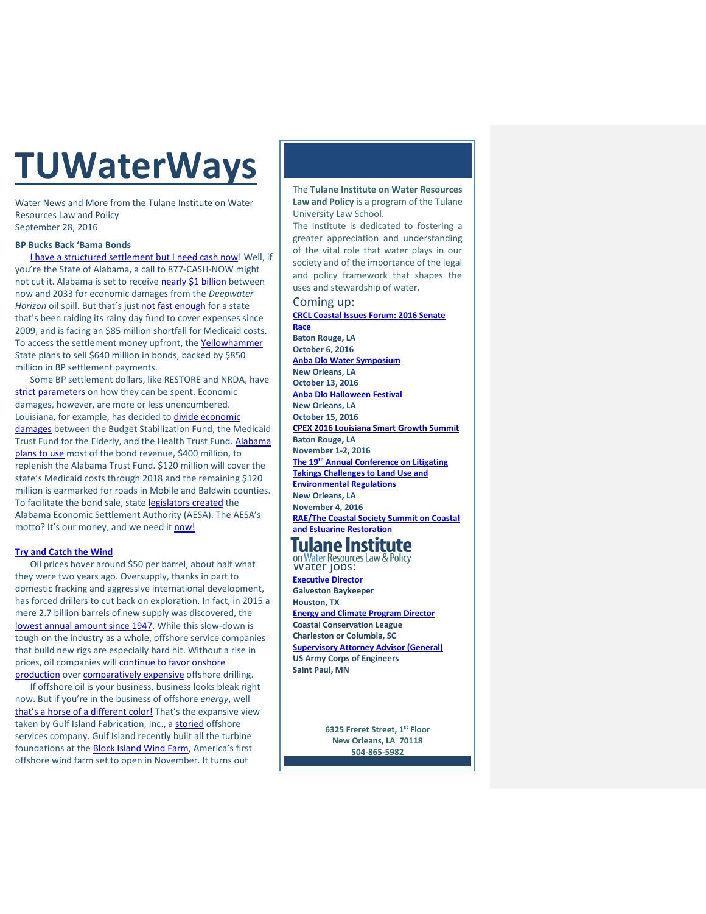# **TUWaterWays**

Water News and More from the Tulane Institute on Water Resources Law and Policy September 28, 2016

## **BP Bucks Back 'Bama Bonds**

[I have a structured settlement but I need cash now!](https://www.youtube.com/watch?v=HlL3y3j8ofc) Well, if you're the State of Alabama, a call to 877-CASH-NOW might not cut it. Alabama is set to receive [nearly \\$1 billion](http://ago.state.al.us/News-724) between now and 2033 for economic damages from the *Deepwater Horizon* oil spill. But that's just [not fast enough](http://www.timesfreepress.com/news/local/story/2016/feb/02/alabama-lawmakers-begin-2016-session-familiar-budget-woes/348112/) for a state that's been raiding its rainy day fund to cover expenses since 2009, and is facing an \$85 million shortfall for Medicaid costs. To access the settlement money upfront, the [Yellowhammer](http://www.statesymbolsusa.org/sites/statesymbolsusa.org/files/North-Flicker-Yellowhammer.jpg) State plans to sell \$640 million in bonds, backed by \$850 million in BP settlement payments.

Some BP settlement dollars, like RESTORE and NRDA, have [strict parameters](http://eli-ocean.org/wp-content/blogs.dir/2/files/Funding-DH-Restoration-Recovery.pdf) on how they can be spent. Economic damages, however, are more or less unencumbered. Louisiana, for example, has decided to [divide economic](https://legis.la.gov/Legis/Law.aspx?d=96668)  [damages](https://legis.la.gov/Legis/Law.aspx?d=96668) between the Budget Stabilization Fund, the Medicaid Trust Fund for the Elderly, and the Health Trust Fund. [Alabama](http://www.al.com/news/birmingham/index.ssf/2016/09/compromise_plan_on_bp_meets_re.html)  [plans to use](http://www.al.com/news/birmingham/index.ssf/2016/09/compromise_plan_on_bp_meets_re.html) most of the bond revenue, \$400 million, to replenish the Alabama Trust Fund. \$120 million will cover the state's Medicaid costs through 2018 and the remaining \$120 million is earmarked for roads in Mobile and Baldwin counties. To facilitate the bond sale, state [legislators created](http://www.al.com/news/index.ssf/2016/09/new_authority_hopes_to_sell_bp.html) the Alabama Economic Settlement Authority (AESA). The AESA's motto? It's our money, and we need it [now!](http://i.imgur.com/GYybC.jpg)

## **[Try and Catch the Wind](https://www.youtube.com/watch?v=J8hjEYTpwE8)**

Oil prices hover around \$50 per barrel, about half what they were two years ago. Oversupply, thanks in part to domestic fracking and aggressive international development, has forced drillers to cut back on exploration. In fact, in 2015 a mere 2.7 billion barrels of new supply was discovered, the [lowest annual amount since 1947.](http://www.bloomberg.com/news/articles/2016-08-29/oil-discoveries-at-a-70-year-low-signal-a-supply-shortfall-ahead) While this slow-down is tough on the industry as a whole, offshore service companies that build new rigs are especially hard hit. Without a rise in prices, oil companies will [continue to favor onshore](http://www.worldoil.com/news/2016/9/22/analyst-touts-industry-s-cost-reductions-in-us-shale-plays) [production](http://www.worldoil.com/news/2016/9/22/analyst-touts-industry-s-cost-reductions-in-us-shale-plays) ove[r comparatively expensive](https://www.woodmac.com/content/portal/energy/highlights/wk2_May_16/chart1large.jpg) offshore drilling.

If offshore oil is your business, business looks bleak right now. But if you're in the business of offshore *energy*, well [that's a horse of a different color!](https://www.youtube.com/watch?v=wC871hNBig4) That's the expansive view taken by Gulf Island Fabrication, Inc., [a storied](http://www.gulfisland.com/history.html) offshore services company. Gulf Island recently built all the turbine foundations at the **Block Island Wind Farm**, America's first offshore wind farm set to open in November. It turns out

The **Tulane Institute on Water Resources Law and Policy** is a program of the Tulane University Law School.

The Institute is dedicated to fostering a greater appreciation and understanding of the vital role that water plays in our society and of the importance of the legal and policy framework that shapes the uses and stewardship of water.

# Coming up:

**[CRCL Coastal Issues Forum: 2016 Senate](http://crcl.org/programs/restoration-policy/2016-senate-race.html?bblinkid=25274655&bbemailid=1975752&bbejrid=132622062)** 

**[Race](http://crcl.org/programs/restoration-policy/2016-senate-race.html?bblinkid=25274655&bbemailid=1975752&bbejrid=132622062) Baton Rouge, LA October 6, 2016 Anba Dlo [Water Symposium](http://www.anbadlofestival.org/water-symposium-1) New Orleans, LA October 13, 2016 [Anba Dlo Halloween](http://www.anbadlofestival.org/) Festival New Orleans, LA October 15, 2016 [CPEX 2016 Louisiana Smart Growth Summit](http://summit.cpex.org/) Baton Rouge, LA November 1-2, 2016 The 19th [Annual Conference on Litigating](http://www.vermontlaw.edu/news-and-events/events/takings-conference)  [Takings Challenges to Land Use and](http://www.vermontlaw.edu/news-and-events/events/takings-conference)  [Environmental Regulations](http://www.vermontlaw.edu/news-and-events/events/takings-conference) New Orleans, LA November 4, 2016 [RAE/The Coastal Society Summit on Coastal](https://www.estuaries.org/Summit)  [and Estuarine Restoration](https://www.estuaries.org/Summit)**

# Tulane Institute

on Water Resources Law & Policy Water jobs:

**[Executive Director](http://www.galvestonbaykeeper.org/job_openings) Galveston Baykeeper Houston, TX [Energy and Climate Program Director](http://coastalconservationleague.org/about/employment-opportunities/energy-climate-program-director/) Coastal Conservation League Charleston or Columbia, SC [Supervisory Attorney Advisor \(General\)](https://www.usajobs.gov/GetJob/ViewDetails/437330200) US Army Corps of Engineers Saint Paul, MN**

> **6325 Freret Street, 1st Floor New Orleans, LA 70118 504-865-5982**

> > **[tulanewater.org](file:///C:/Users/waterlaw/Downloads/tulanewater.org)**